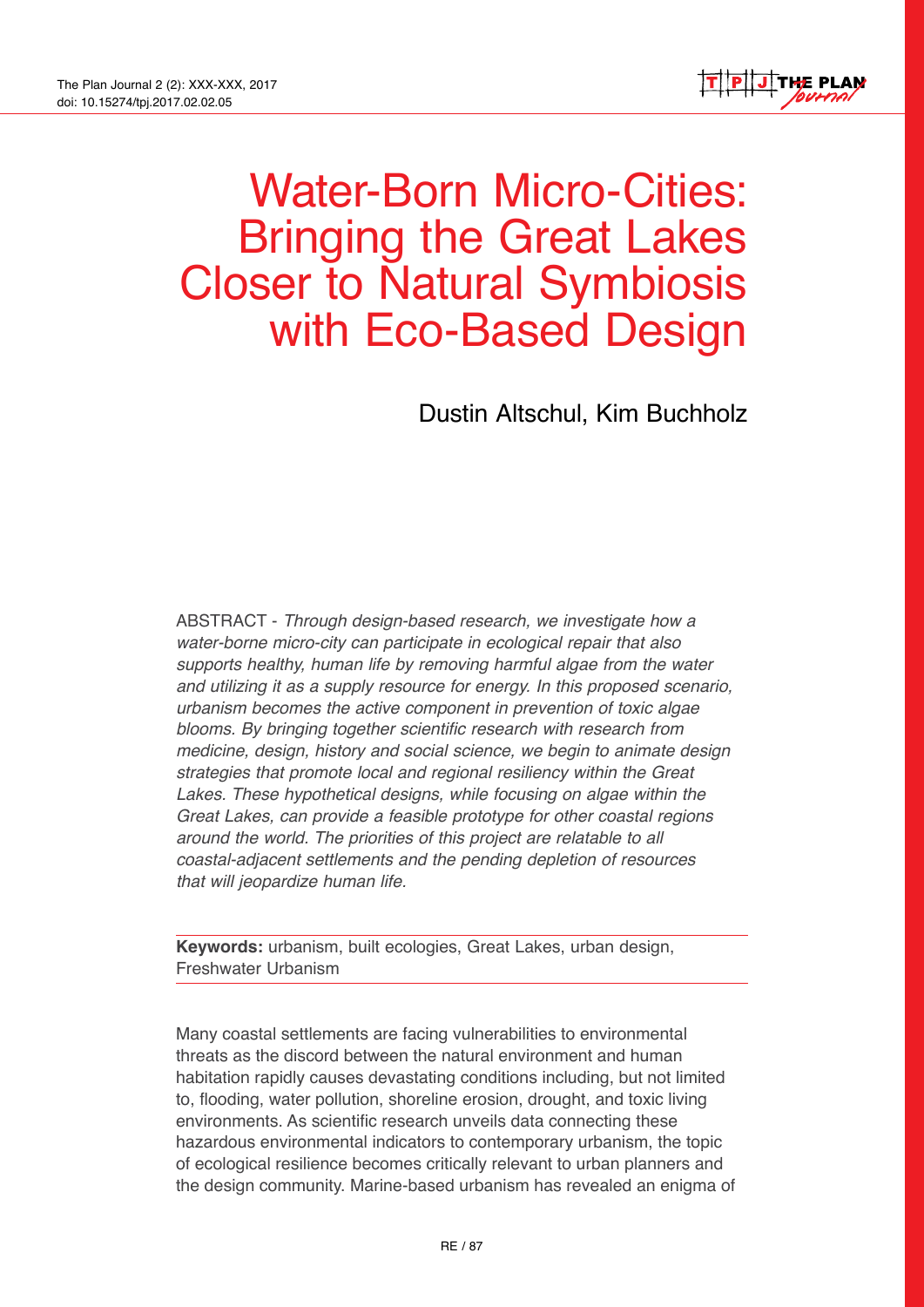

# Water-Born Micro-Cities: Bringing the Great Lakes Closer to Natural Symbiosis with Eco-Based Design

Dustin Altschul, Kim Buchholz

ABSTRACT - *Through design-based research, we investigate how a water-borne micro-city can participate in ecological repair that also supports healthy, human life by removing harmful algae from the water and utilizing it as a supply resource for energy. In this proposed scenario, urbanism becomes the active component in prevention of toxic algae blooms. By bringing together scientific research with research from medicine, design, history and social science, we begin to animate design strategies that promote local and regional resiliency within the Great Lakes. These hypothetical designs, while focusing on algae within the Great Lakes, can provide a feasible prototype for other coastal regions around the world. The priorities of this project are relatable to all coastal-adjacent settlements and the pending depletion of resources that will jeopardize human life.*

**Keywords:** urbanism, built ecologies, Great Lakes, urban design, Freshwater Urbanism

Many coastal settlements are facing vulnerabilities to environmental threats as the discord between the natural environment and human habitation rapidly causes devastating conditions including, but not limited to, flooding, water pollution, shoreline erosion, drought, and toxic living environments. As scientific research unveils data connecting these hazardous environmental indicators to contemporary urbanism, the topic of ecological resilience becomes critically relevant to urban planners and the design community. Marine-based urbanism has revealed an enigma of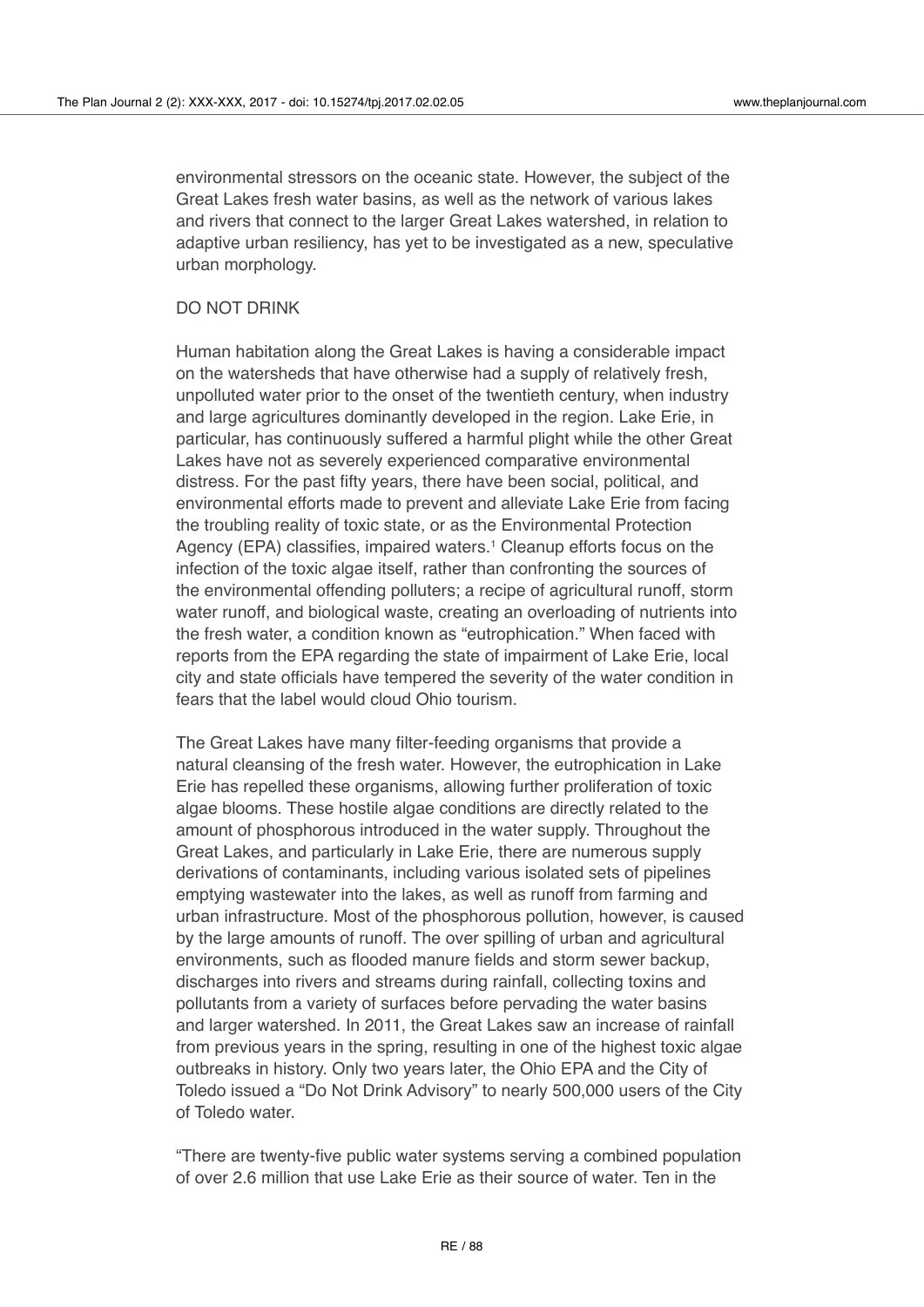environmental stressors on the oceanic state. However, the subject of the Great Lakes fresh water basins, as well as the network of various lakes and rivers that connect to the larger Great Lakes watershed, in relation to adaptive urban resiliency, has yet to be investigated as a new, speculative urban morphology.

# DO NOT DRINK

Human habitation along the Great Lakes is having a considerable impact on the watersheds that have otherwise had a supply of relatively fresh, unpolluted water prior to the onset of the twentieth century, when industry and large agricultures dominantly developed in the region. Lake Erie, in particular, has continuously suffered a harmful plight while the other Great Lakes have not as severely experienced comparative environmental distress. For the past fifty years, there have been social, political, and environmental efforts made to prevent and alleviate Lake Erie from facing the troubling reality of toxic state, or as the Environmental Protection Agency (EPA) classifies, impaired waters.<sup>1</sup> Cleanup efforts focus on the infection of the toxic algae itself, rather than confronting the sources of the environmental offending polluters; a recipe of agricultural runoff, storm water runoff, and biological waste, creating an overloading of nutrients into the fresh water, a condition known as "eutrophication." When faced with reports from the EPA regarding the state of impairment of Lake Erie, local city and state officials have tempered the severity of the water condition in fears that the label would cloud Ohio tourism.

The Great Lakes have many filter-feeding organisms that provide a natural cleansing of the fresh water. However, the eutrophication in Lake Erie has repelled these organisms, allowing further proliferation of toxic algae blooms. These hostile algae conditions are directly related to the amount of phosphorous introduced in the water supply. Throughout the Great Lakes, and particularly in Lake Erie, there are numerous supply derivations of contaminants, including various isolated sets of pipelines emptying wastewater into the lakes, as well as runoff from farming and urban infrastructure. Most of the phosphorous pollution, however, is caused by the large amounts of runoff. The over spilling of urban and agricultural environments, such as flooded manure fields and storm sewer backup, discharges into rivers and streams during rainfall, collecting toxins and pollutants from a variety of surfaces before pervading the water basins and larger watershed. In 2011, the Great Lakes saw an increase of rainfall from previous years in the spring, resulting in one of the highest toxic algae outbreaks in history. Only two years later, the Ohio EPA and the City of Toledo issued a "Do Not Drink Advisory" to nearly 500,000 users of the City of Toledo water.

"There are twenty-five public water systems serving a combined population of over 2.6 million that use Lake Erie as their source of water. Ten in the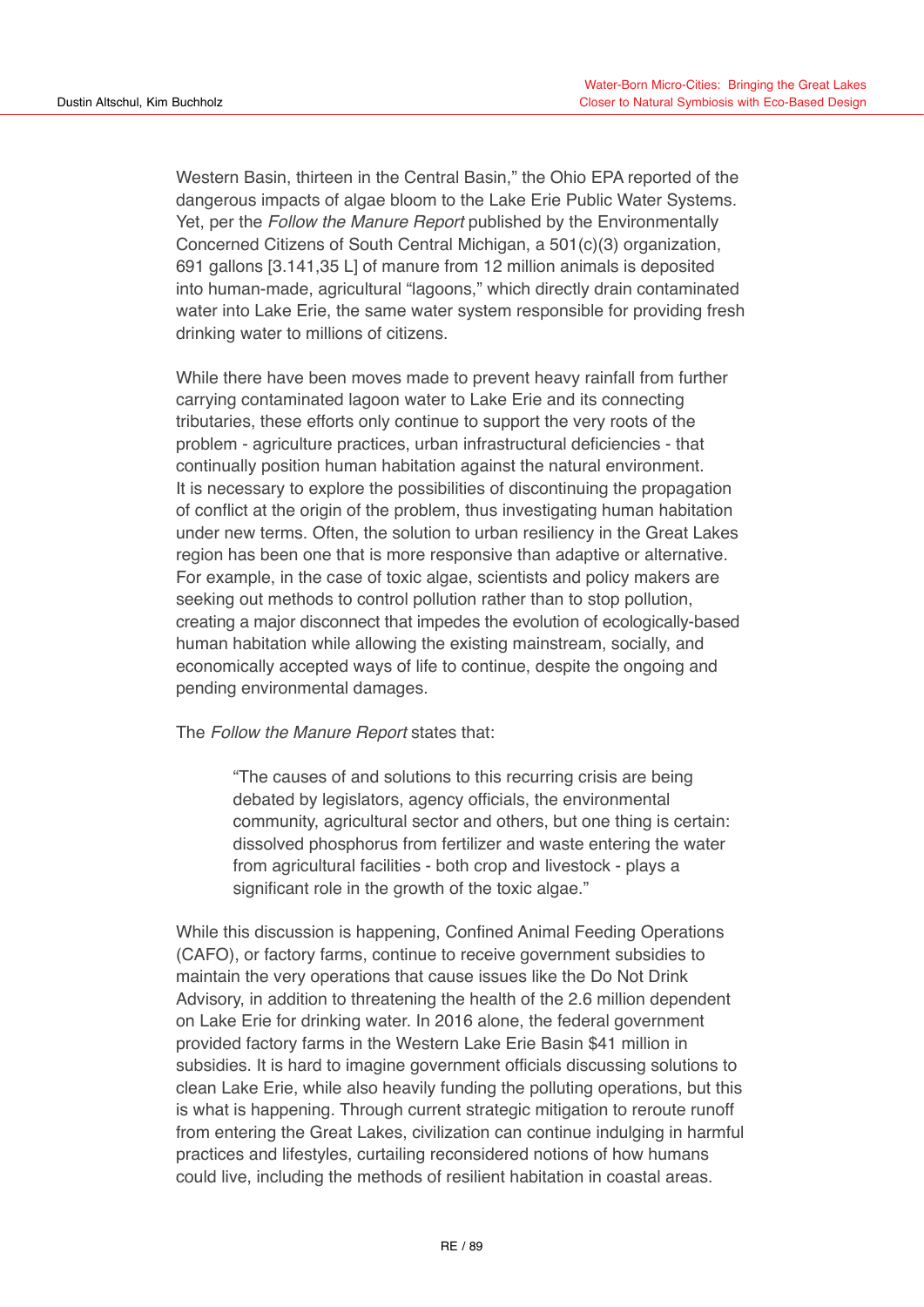Western Basin, thirteen in the Central Basin," the Ohio EPA reported of the dangerous impacts of algae bloom to the Lake Erie Public Water Systems. Yet, per the *Follow the Manure Report* published by the Environmentally Concerned Citizens of South Central Michigan, a 501(c)(3) organization, 691 gallons [3.141,35 L] of manure from 12 million animals is deposited into human-made, agricultural "lagoons," which directly drain contaminated water into Lake Erie, the same water system responsible for providing fresh drinking water to millions of citizens.

While there have been moves made to prevent heavy rainfall from further carrying contaminated lagoon water to Lake Erie and its connecting tributaries, these efforts only continue to support the very roots of the problem - agriculture practices, urban infrastructural deficiencies - that continually position human habitation against the natural environment. It is necessary to explore the possibilities of discontinuing the propagation of conflict at the origin of the problem, thus investigating human habitation under new terms. Often, the solution to urban resiliency in the Great Lakes region has been one that is more responsive than adaptive or alternative. For example, in the case of toxic algae, scientists and policy makers are seeking out methods to control pollution rather than to stop pollution, creating a major disconnect that impedes the evolution of ecologically-based human habitation while allowing the existing mainstream, socially, and economically accepted ways of life to continue, despite the ongoing and pending environmental damages.

The *Follow the Manure Report* states that:

"The causes of and solutions to this recurring crisis are being debated by legislators, agency officials, the environmental community, agricultural sector and others, but one thing is certain: dissolved phosphorus from fertilizer and waste entering the water from agricultural facilities - both crop and livestock - plays a significant role in the growth of the toxic algae."

While this discussion is happening, Confined Animal Feeding Operations (CAFO), or factory farms, continue to receive government subsidies to maintain the very operations that cause issues like the Do Not Drink Advisory, in addition to threatening the health of the 2.6 million dependent on Lake Erie for drinking water. In 2016 alone, the federal government provided factory farms in the Western Lake Erie Basin \$41 million in subsidies. It is hard to imagine government officials discussing solutions to clean Lake Erie, while also heavily funding the polluting operations, but this is what is happening. Through current strategic mitigation to reroute runoff from entering the Great Lakes, civilization can continue indulging in harmful practices and lifestyles, curtailing reconsidered notions of how humans could live, including the methods of resilient habitation in coastal areas.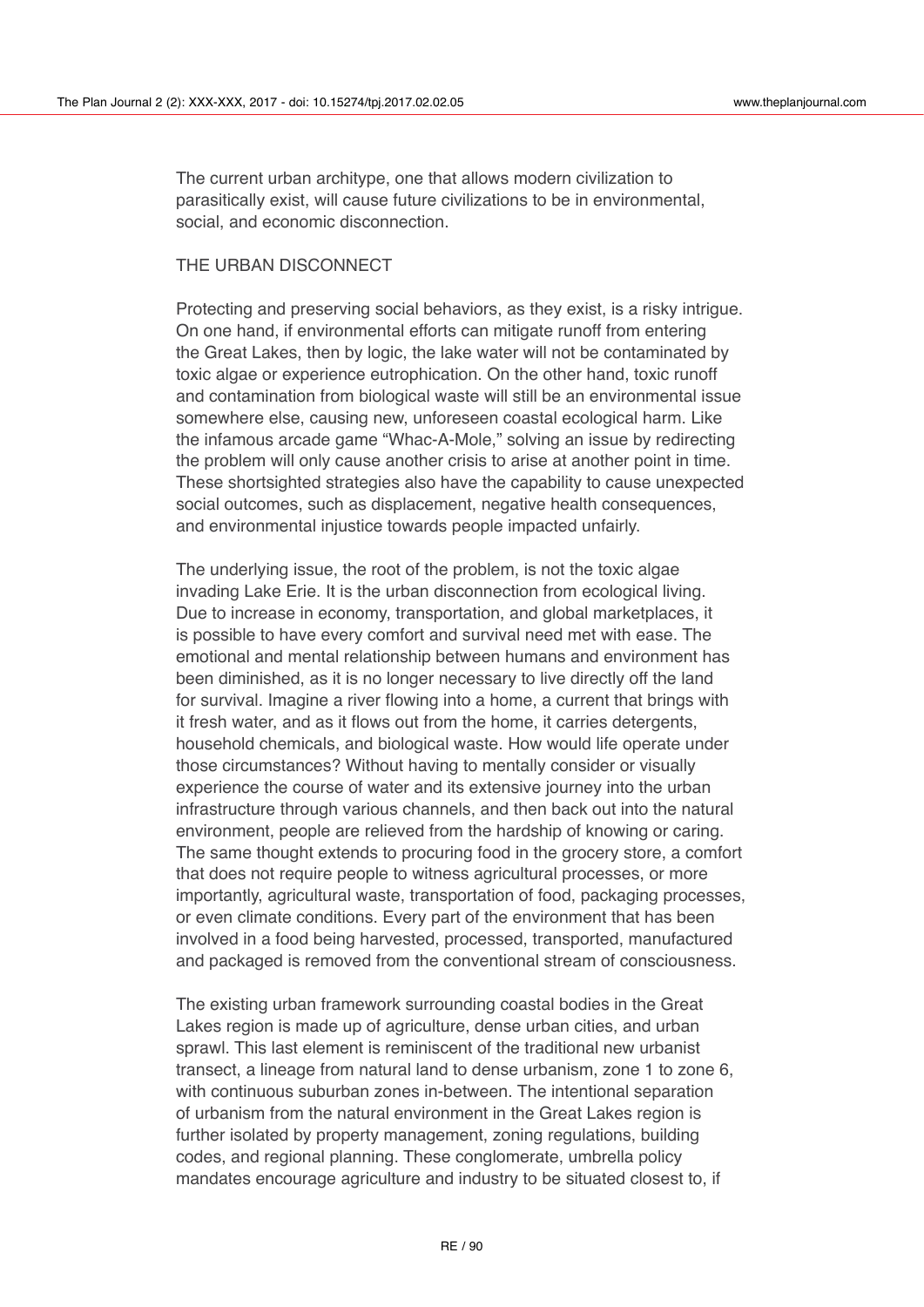The current urban architype, one that allows modern civilization to parasitically exist, will cause future civilizations to be in environmental, social, and economic disconnection.

# THE URBAN DISCONNECT

Protecting and preserving social behaviors, as they exist, is a risky intrigue. On one hand, if environmental efforts can mitigate runoff from entering the Great Lakes, then by logic, the lake water will not be contaminated by toxic algae or experience eutrophication. On the other hand, toxic runoff and contamination from biological waste will still be an environmental issue somewhere else, causing new, unforeseen coastal ecological harm. Like the infamous arcade game "Whac-A-Mole," solving an issue by redirecting the problem will only cause another crisis to arise at another point in time. These shortsighted strategies also have the capability to cause unexpected social outcomes, such as displacement, negative health consequences, and environmental injustice towards people impacted unfairly.

The underlying issue, the root of the problem, is not the toxic algae invading Lake Erie. It is the urban disconnection from ecological living. Due to increase in economy, transportation, and global marketplaces, it is possible to have every comfort and survival need met with ease. The emotional and mental relationship between humans and environment has been diminished, as it is no longer necessary to live directly off the land for survival. Imagine a river flowing into a home, a current that brings with it fresh water, and as it flows out from the home, it carries detergents, household chemicals, and biological waste. How would life operate under those circumstances? Without having to mentally consider or visually experience the course of water and its extensive journey into the urban infrastructure through various channels, and then back out into the natural environment, people are relieved from the hardship of knowing or caring. The same thought extends to procuring food in the grocery store, a comfort that does not require people to witness agricultural processes, or more importantly, agricultural waste, transportation of food, packaging processes, or even climate conditions. Every part of the environment that has been involved in a food being harvested, processed, transported, manufactured and packaged is removed from the conventional stream of consciousness.

The existing urban framework surrounding coastal bodies in the Great Lakes region is made up of agriculture, dense urban cities, and urban sprawl. This last element is reminiscent of the traditional new urbanist transect, a lineage from natural land to dense urbanism, zone 1 to zone 6, with continuous suburban zones in-between. The intentional separation of urbanism from the natural environment in the Great Lakes region is further isolated by property management, zoning regulations, building codes, and regional planning. These conglomerate, umbrella policy mandates encourage agriculture and industry to be situated closest to, if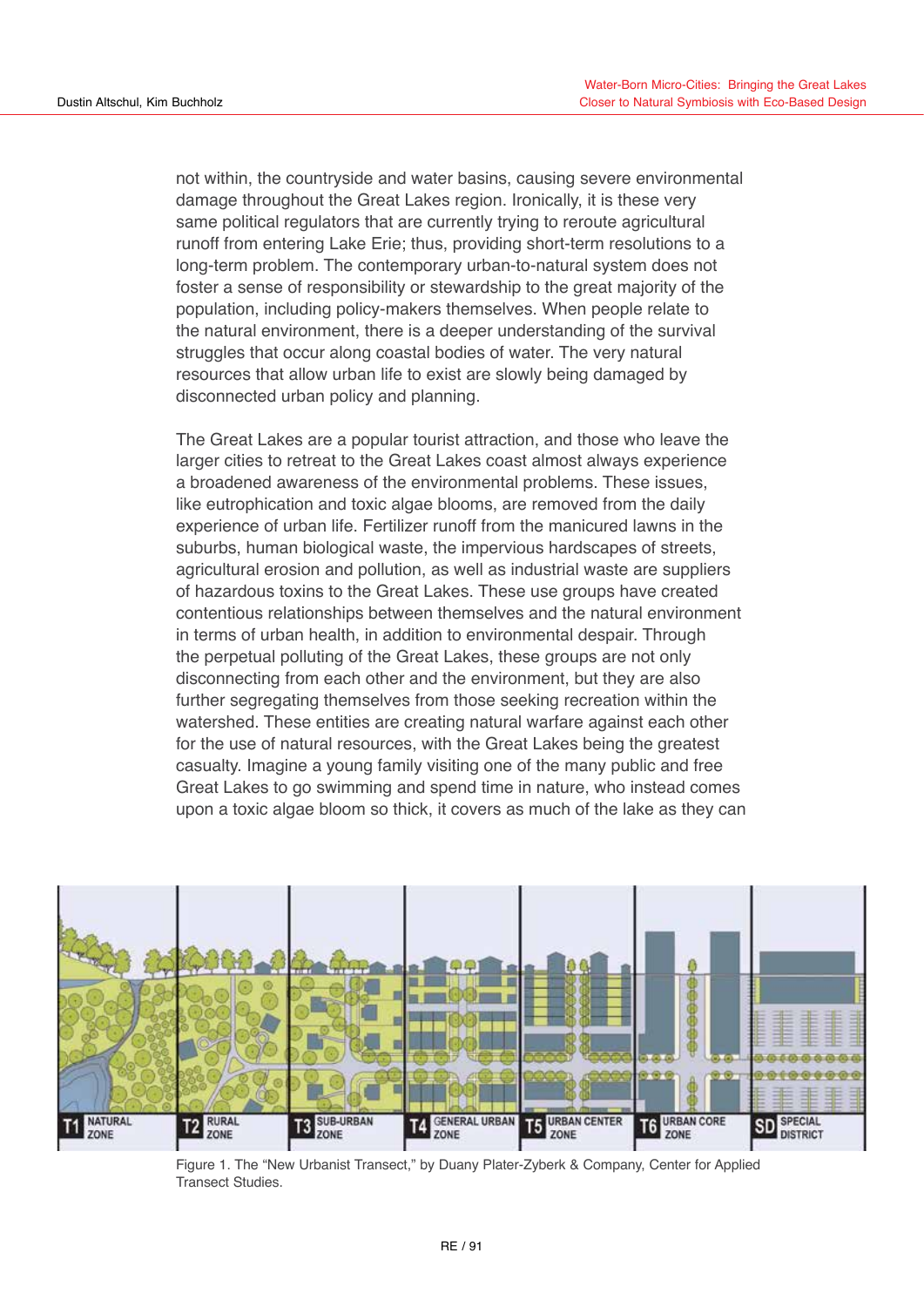not within, the countryside and water basins, causing severe environmental damage throughout the Great Lakes region. Ironically, it is these very same political regulators that are currently trying to reroute agricultural runoff from entering Lake Erie; thus, providing short-term resolutions to a long-term problem. The contemporary urban-to-natural system does not foster a sense of responsibility or stewardship to the great majority of the population, including policy-makers themselves. When people relate to the natural environment, there is a deeper understanding of the survival struggles that occur along coastal bodies of water. The very natural resources that allow urban life to exist are slowly being damaged by disconnected urban policy and planning.

The Great Lakes are a popular tourist attraction, and those who leave the larger cities to retreat to the Great Lakes coast almost always experience a broadened awareness of the environmental problems. These issues, like eutrophication and toxic algae blooms, are removed from the daily experience of urban life. Fertilizer runoff from the manicured lawns in the suburbs, human biological waste, the impervious hardscapes of streets, agricultural erosion and pollution, as well as industrial waste are suppliers of hazardous toxins to the Great Lakes. These use groups have created contentious relationships between themselves and the natural environment in terms of urban health, in addition to environmental despair. Through the perpetual polluting of the Great Lakes, these groups are not only disconnecting from each other and the environment, but they are also further segregating themselves from those seeking recreation within the watershed. These entities are creating natural warfare against each other for the use of natural resources, with the Great Lakes being the greatest casualty. Imagine a young family visiting one of the many public and free Great Lakes to go swimming and spend time in nature, who instead comes upon a toxic algae bloom so thick, it covers as much of the lake as they can



Figure 1. The "New Urbanist Transect," by Duany Plater-Zyberk & Company, Center for Applied Transect Studies.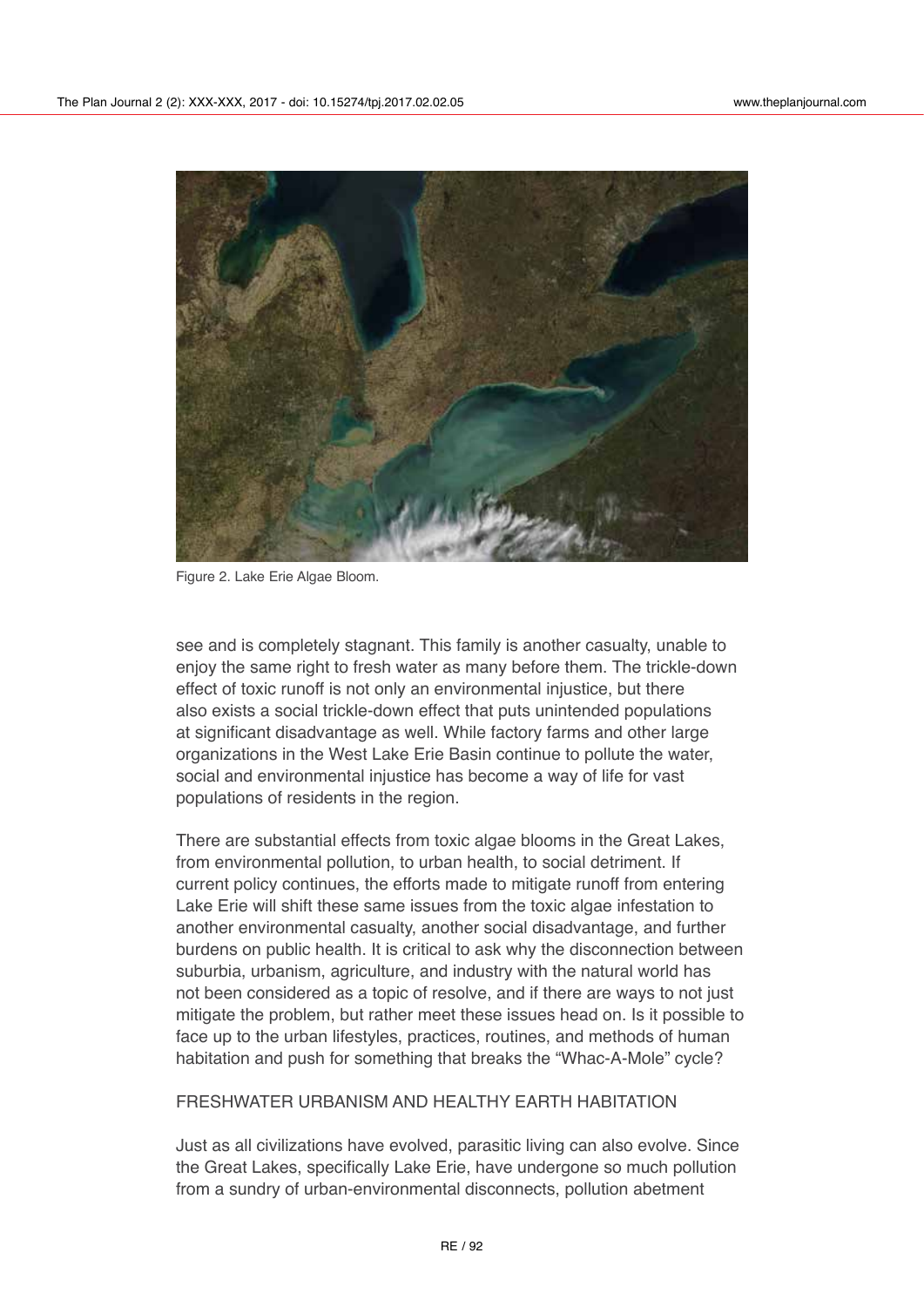

Figure 2. Lake Erie Algae Bloom.

see and is completely stagnant. This family is another casualty, unable to enjoy the same right to fresh water as many before them. The trickle-down effect of toxic runoff is not only an environmental injustice, but there also exists a social trickle-down effect that puts unintended populations at significant disadvantage as well. While factory farms and other large organizations in the West Lake Erie Basin continue to pollute the water, social and environmental injustice has become a way of life for vast populations of residents in the region.

There are substantial effects from toxic algae blooms in the Great Lakes, from environmental pollution, to urban health, to social detriment. If current policy continues, the efforts made to mitigate runoff from entering Lake Erie will shift these same issues from the toxic algae infestation to another environmental casualty, another social disadvantage, and further burdens on public health. It is critical to ask why the disconnection between suburbia, urbanism, agriculture, and industry with the natural world has not been considered as a topic of resolve, and if there are ways to not just mitigate the problem, but rather meet these issues head on. Is it possible to face up to the urban lifestyles, practices, routines, and methods of human habitation and push for something that breaks the "Whac-A-Mole" cycle?

# FRESHWATER URBANISM AND HEALTHY EARTH HABITATION

Just as all civilizations have evolved, parasitic living can also evolve. Since the Great Lakes, specifically Lake Erie, have undergone so much pollution from a sundry of urban-environmental disconnects, pollution abetment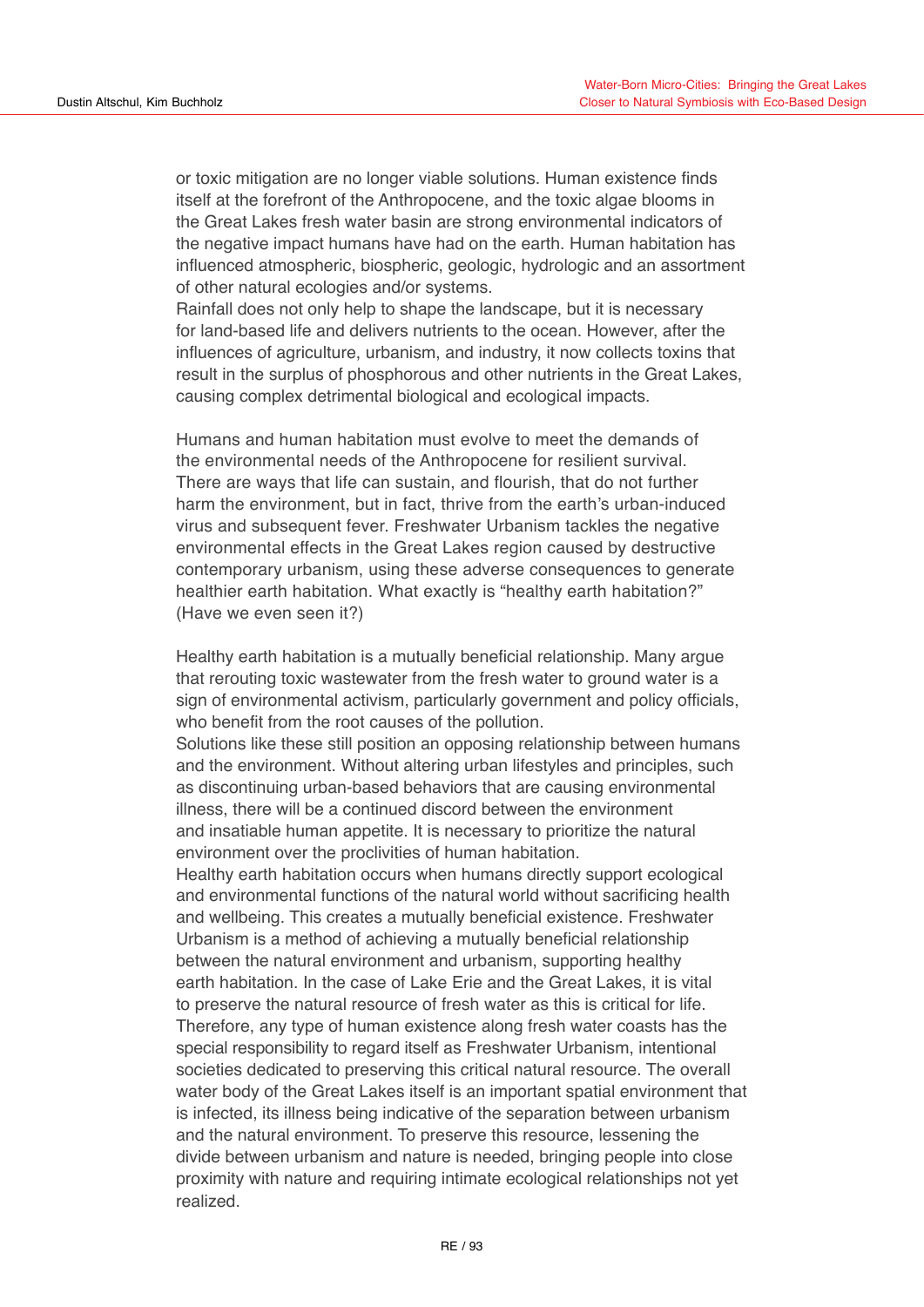or toxic mitigation are no longer viable solutions. Human existence finds itself at the forefront of the Anthropocene, and the toxic algae blooms in the Great Lakes fresh water basin are strong environmental indicators of the negative impact humans have had on the earth. Human habitation has influenced atmospheric, biospheric, geologic, hydrologic and an assortment of other natural ecologies and/or systems.

Rainfall does not only help to shape the landscape, but it is necessary for land-based life and delivers nutrients to the ocean. However, after the influences of agriculture, urbanism, and industry, it now collects toxins that result in the surplus of phosphorous and other nutrients in the Great Lakes, causing complex detrimental biological and ecological impacts.

Humans and human habitation must evolve to meet the demands of the environmental needs of the Anthropocene for resilient survival. There are ways that life can sustain, and flourish, that do not further harm the environment, but in fact, thrive from the earth's urban-induced virus and subsequent fever. Freshwater Urbanism tackles the negative environmental effects in the Great Lakes region caused by destructive contemporary urbanism, using these adverse consequences to generate healthier earth habitation. What exactly is "healthy earth habitation?" (Have we even seen it?)

Healthy earth habitation is a mutually beneficial relationship. Many argue that rerouting toxic wastewater from the fresh water to ground water is a sign of environmental activism, particularly government and policy officials, who benefit from the root causes of the pollution.

Solutions like these still position an opposing relationship between humans and the environment. Without altering urban lifestyles and principles, such as discontinuing urban-based behaviors that are causing environmental illness, there will be a continued discord between the environment and insatiable human appetite. It is necessary to prioritize the natural environment over the proclivities of human habitation. Healthy earth habitation occurs when humans directly support ecological and environmental functions of the natural world without sacrificing health and wellbeing. This creates a mutually beneficial existence. Freshwater Urbanism is a method of achieving a mutually beneficial relationship between the natural environment and urbanism, supporting healthy earth habitation. In the case of Lake Erie and the Great Lakes, it is vital to preserve the natural resource of fresh water as this is critical for life. Therefore, any type of human existence along fresh water coasts has the special responsibility to regard itself as Freshwater Urbanism, intentional societies dedicated to preserving this critical natural resource. The overall water body of the Great Lakes itself is an important spatial environment that is infected, its illness being indicative of the separation between urbanism and the natural environment. To preserve this resource, lessening the divide between urbanism and nature is needed, bringing people into close proximity with nature and requiring intimate ecological relationships not yet

realized.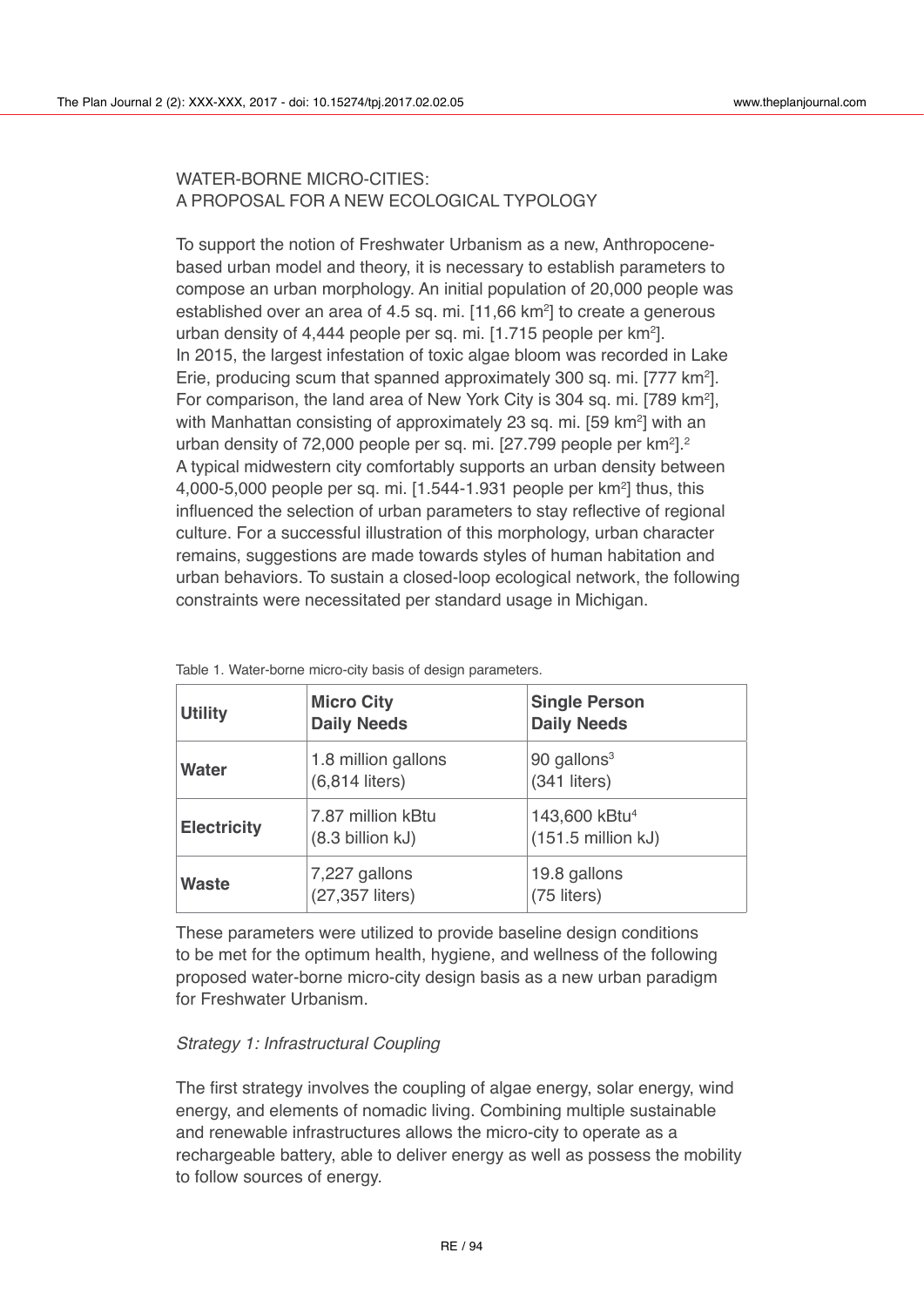# WATER-BORNE MICRO-CITIES: A PROPOSAL FOR A NEW ECOLOGICAL TYPOLOGY

To support the notion of Freshwater Urbanism as a new, Anthropocenebased urban model and theory, it is necessary to establish parameters to compose an urban morphology. An initial population of 20,000 people was established over an area of 4.5 sq. mi. [11,66 km<sup>2</sup>] to create a generous urban density of 4,444 people per sq. mi. [1.715 people per km2 ]. In 2015, the largest infestation of toxic algae bloom was recorded in Lake Erie, producing scum that spanned approximately 300 sq. mi. [777 km2 ]. For comparison, the land area of New York City is 304 sq. mi. [789 km<sup>2</sup>], with Manhattan consisting of approximately 23 sq. mi. [59 km<sup>2</sup>] with an urban density of 72,000 people per sq. mi. [27.799 people per km $^2$ ]. $^2$ A typical midwestern city comfortably supports an urban density between 4,000-5,000 people per sq. mi. [1.544-1.931 people per km $^2$ ] thus, this influenced the selection of urban parameters to stay reflective of regional culture. For a successful illustration of this morphology, urban character remains, suggestions are made towards styles of human habitation and urban behaviors. To sustain a closed-loop ecological network, the following constraints were necessitated per standard usage in Michigan.

| <b>Utility</b>     | <b>Micro City</b><br><b>Daily Needs</b>         | <b>Single Person</b><br><b>Daily Needs</b>        |
|--------------------|-------------------------------------------------|---------------------------------------------------|
| <b>Water</b>       | 1.8 million gallons<br>$(6,814$ liters)         | 90 gallons <sup>3</sup><br>$(341$ liters)         |
| <b>Electricity</b> | 7.87 million kBtu<br>$(8.3 \text{ billion kJ})$ | 143,600 kBtu <sup>4</sup><br>$(151.5$ million kJ) |
| <b>Waste</b>       | 7,227 gallons<br>(27,357 liters)                | 19.8 gallons<br>(75 liters)                       |

Table 1. Water-borne micro-city basis of design parameters.

These parameters were utilized to provide baseline design conditions to be met for the optimum health, hygiene, and wellness of the following proposed water-borne micro-city design basis as a new urban paradigm for Freshwater Urbanism.

# *Strategy 1: Infrastructural Coupling*

The first strategy involves the coupling of algae energy, solar energy, wind energy, and elements of nomadic living. Combining multiple sustainable and renewable infrastructures allows the micro-city to operate as a rechargeable battery, able to deliver energy as well as possess the mobility to follow sources of energy.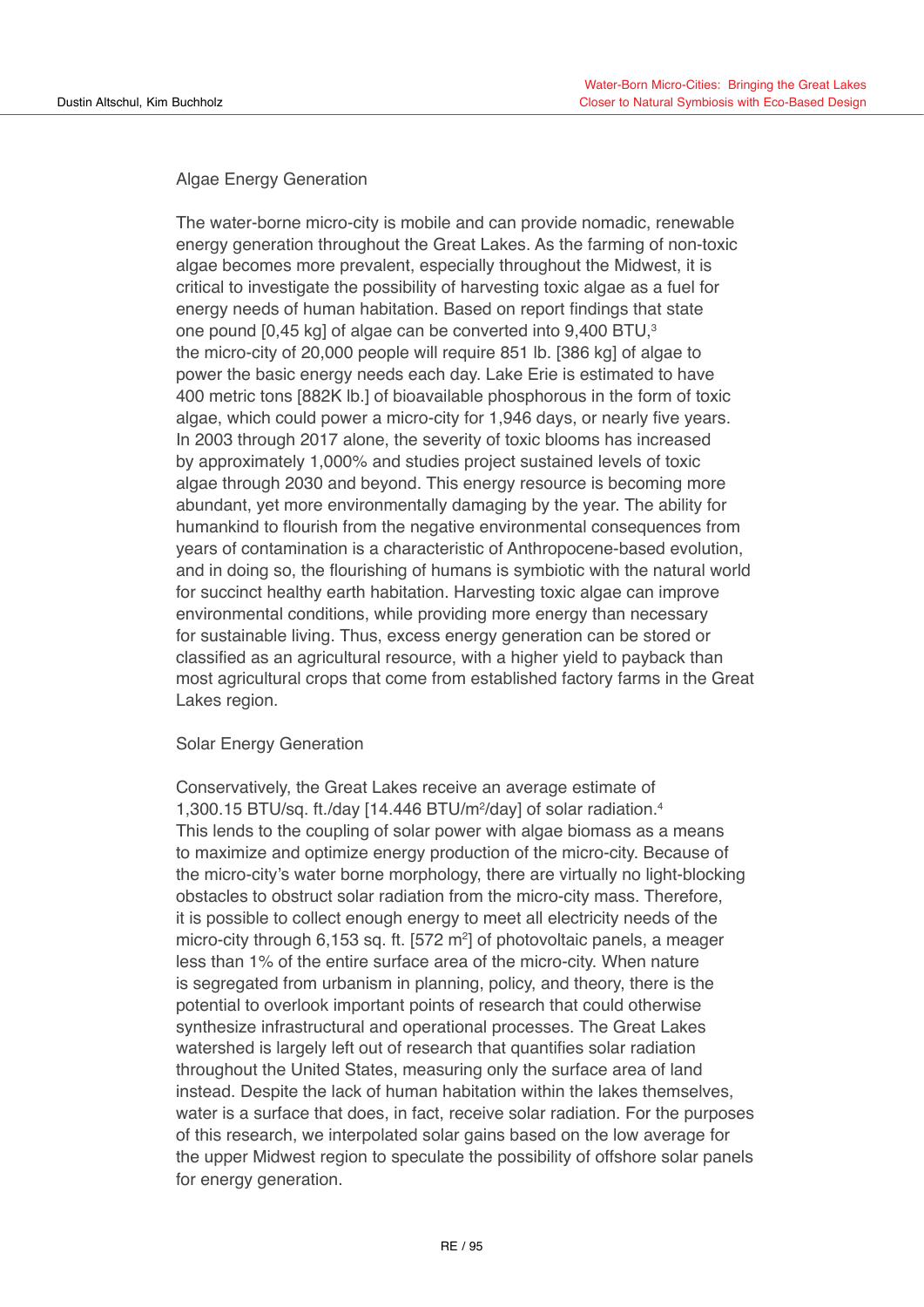# Algae Energy Generation

The water-borne micro-city is mobile and can provide nomadic, renewable energy generation throughout the Great Lakes. As the farming of non-toxic algae becomes more prevalent, especially throughout the Midwest, it is critical to investigate the possibility of harvesting toxic algae as a fuel for energy needs of human habitation. Based on report findings that state one pound [0,45 kg] of algae can be converted into 9,400 BTU,<sup>3</sup> the micro-city of 20,000 people will require 851 lb. [386 kg] of algae to power the basic energy needs each day. Lake Erie is estimated to have 400 metric tons [882K lb.] of bioavailable phosphorous in the form of toxic algae, which could power a micro-city for 1,946 days, or nearly five years. In 2003 through 2017 alone, the severity of toxic blooms has increased by approximately 1,000% and studies project sustained levels of toxic algae through 2030 and beyond. This energy resource is becoming more abundant, yet more environmentally damaging by the year. The ability for humankind to flourish from the negative environmental consequences from years of contamination is a characteristic of Anthropocene-based evolution, and in doing so, the flourishing of humans is symbiotic with the natural world for succinct healthy earth habitation. Harvesting toxic algae can improve environmental conditions, while providing more energy than necessary for sustainable living. Thus, excess energy generation can be stored or classified as an agricultural resource, with a higher yield to payback than most agricultural crops that come from established factory farms in the Great Lakes region.

# Solar Energy Generation

Conservatively, the Great Lakes receive an average estimate of 1,300.15 BTU/sq. ft./day [14.446 BTU/m<sup>2</sup>/day] of solar radiation.<sup>4</sup> This lends to the coupling of solar power with algae biomass as a means to maximize and optimize energy production of the micro-city. Because of the micro-city's water borne morphology, there are virtually no light-blocking obstacles to obstruct solar radiation from the micro-city mass. Therefore, it is possible to collect enough energy to meet all electricity needs of the micro-city through 6,153 sq. ft. [572 m<sup>2</sup>] of photovoltaic panels, a meager less than 1% of the entire surface area of the micro-city. When nature is segregated from urbanism in planning, policy, and theory, there is the potential to overlook important points of research that could otherwise synthesize infrastructural and operational processes. The Great Lakes watershed is largely left out of research that quantifies solar radiation throughout the United States, measuring only the surface area of land instead. Despite the lack of human habitation within the lakes themselves, water is a surface that does, in fact, receive solar radiation. For the purposes of this research, we interpolated solar gains based on the low average for the upper Midwest region to speculate the possibility of offshore solar panels for energy generation.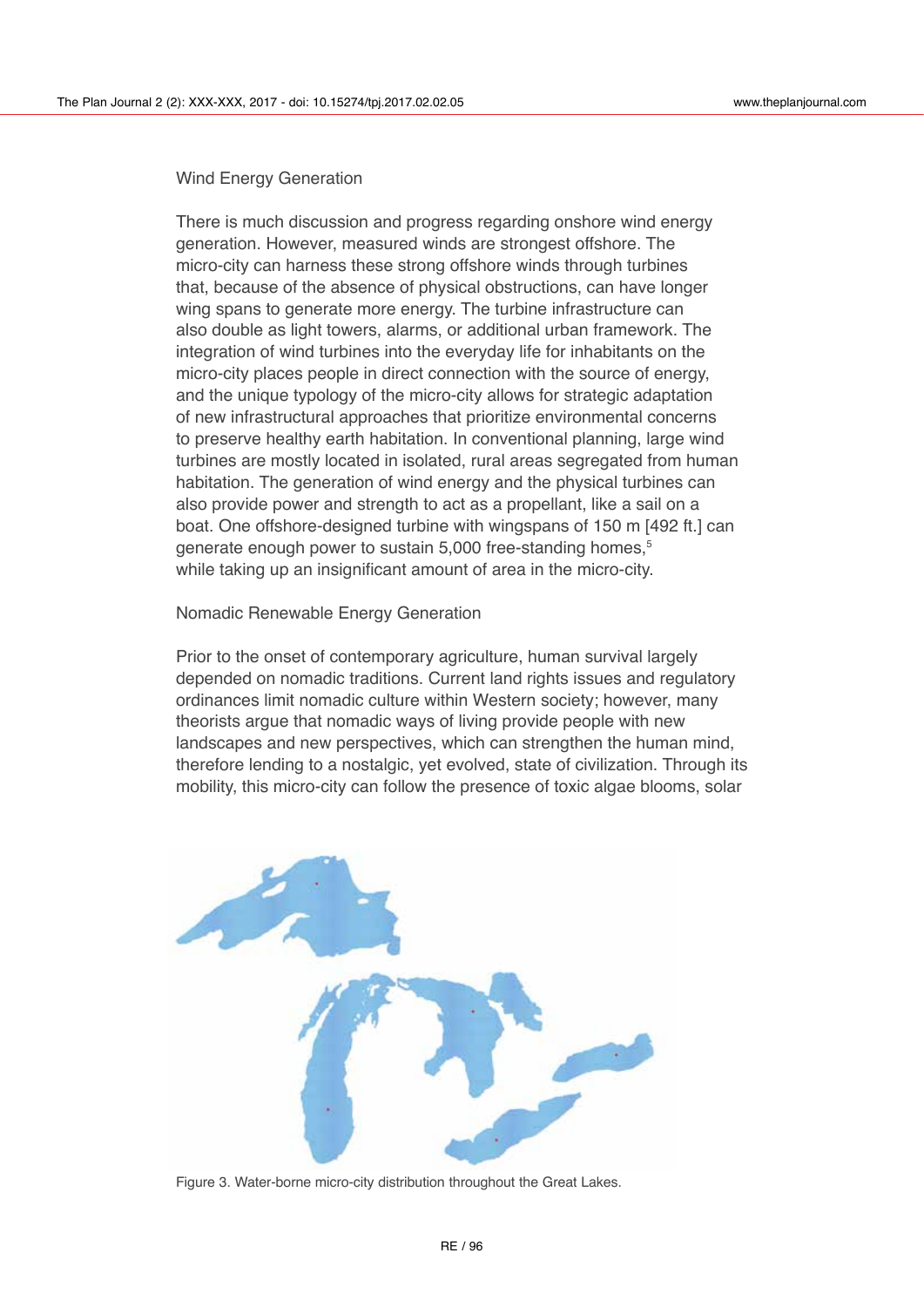#### Wind Energy Generation

There is much discussion and progress regarding onshore wind energy generation. However, measured winds are strongest offshore. The micro-city can harness these strong offshore winds through turbines that, because of the absence of physical obstructions, can have longer wing spans to generate more energy. The turbine infrastructure can also double as light towers, alarms, or additional urban framework. The integration of wind turbines into the everyday life for inhabitants on the micro-city places people in direct connection with the source of energy, and the unique typology of the micro-city allows for strategic adaptation of new infrastructural approaches that prioritize environmental concerns to preserve healthy earth habitation. In conventional planning, large wind turbines are mostly located in isolated, rural areas segregated from human habitation. The generation of wind energy and the physical turbines can also provide power and strength to act as a propellant, like a sail on a boat. One offshore-designed turbine with wingspans of 150 m [492 ft.] can generate enough power to sustain 5,000 free-standing homes.<sup>5</sup> while taking up an insignificant amount of area in the micro-city.

#### Nomadic Renewable Energy Generation

Prior to the onset of contemporary agriculture, human survival largely depended on nomadic traditions. Current land rights issues and regulatory ordinances limit nomadic culture within Western society; however, many theorists argue that nomadic ways of living provide people with new landscapes and new perspectives, which can strengthen the human mind, therefore lending to a nostalgic, yet evolved, state of civilization. Through its mobility, this micro-city can follow the presence of toxic algae blooms, solar



Figure 3. Water-borne micro-city distribution throughout the Great Lakes.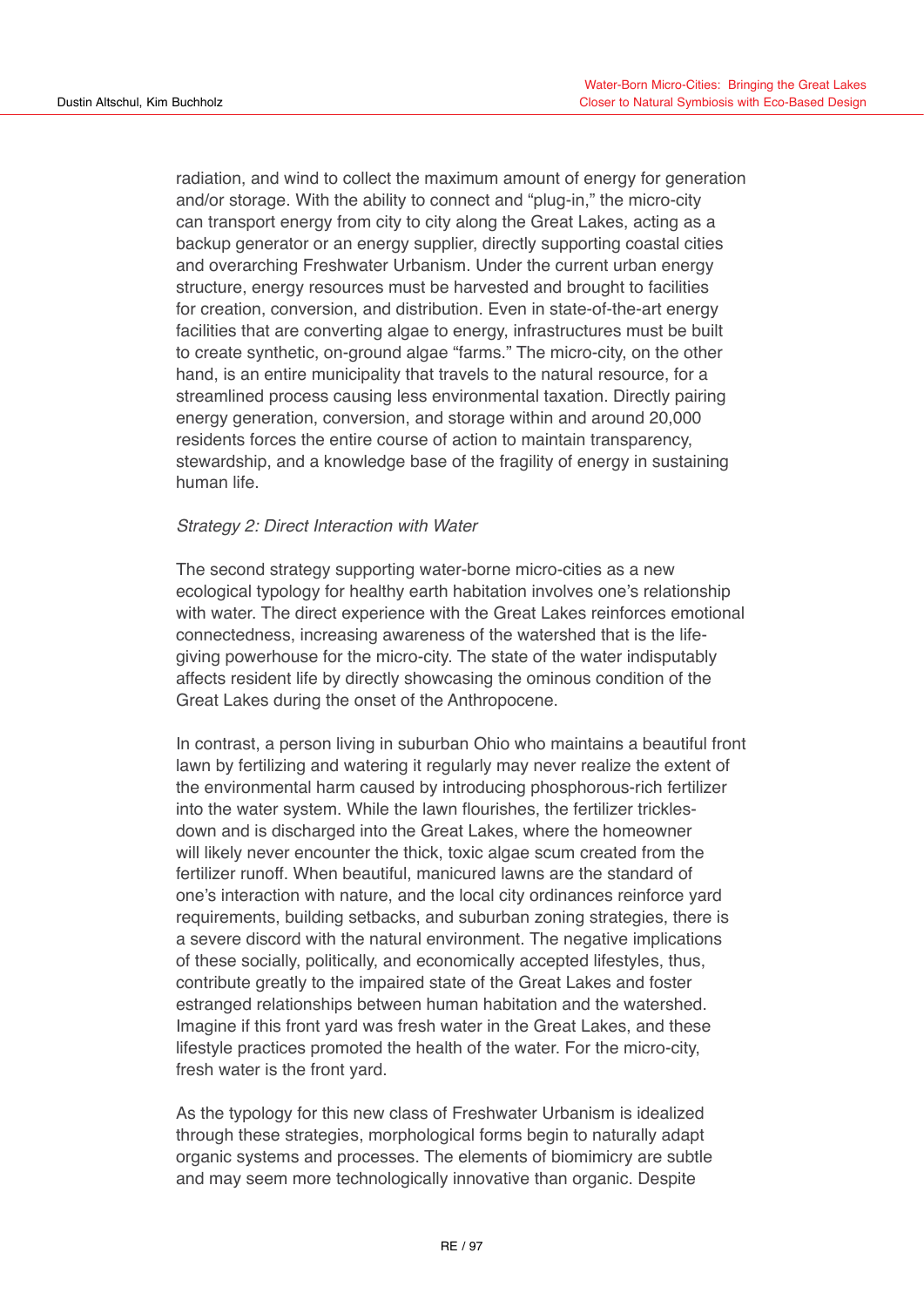radiation, and wind to collect the maximum amount of energy for generation and/or storage. With the ability to connect and "plug-in," the micro-city can transport energy from city to city along the Great Lakes, acting as a backup generator or an energy supplier, directly supporting coastal cities and overarching Freshwater Urbanism. Under the current urban energy structure, energy resources must be harvested and brought to facilities for creation, conversion, and distribution. Even in state-of-the-art energy facilities that are converting algae to energy, infrastructures must be built to create synthetic, on-ground algae "farms." The micro-city, on the other hand, is an entire municipality that travels to the natural resource, for a streamlined process causing less environmental taxation. Directly pairing energy generation, conversion, and storage within and around 20,000 residents forces the entire course of action to maintain transparency, stewardship, and a knowledge base of the fragility of energy in sustaining human life.

# *Strategy 2: Direct Interaction with Water*

The second strategy supporting water-borne micro-cities as a new ecological typology for healthy earth habitation involves one's relationship with water. The direct experience with the Great Lakes reinforces emotional connectedness, increasing awareness of the watershed that is the lifegiving powerhouse for the micro-city. The state of the water indisputably affects resident life by directly showcasing the ominous condition of the Great Lakes during the onset of the Anthropocene.

In contrast, a person living in suburban Ohio who maintains a beautiful front lawn by fertilizing and watering it regularly may never realize the extent of the environmental harm caused by introducing phosphorous-rich fertilizer into the water system. While the lawn flourishes, the fertilizer tricklesdown and is discharged into the Great Lakes, where the homeowner will likely never encounter the thick, toxic algae scum created from the fertilizer runoff. When beautiful, manicured lawns are the standard of one's interaction with nature, and the local city ordinances reinforce yard requirements, building setbacks, and suburban zoning strategies, there is a severe discord with the natural environment. The negative implications of these socially, politically, and economically accepted lifestyles, thus, contribute greatly to the impaired state of the Great Lakes and foster estranged relationships between human habitation and the watershed. Imagine if this front yard was fresh water in the Great Lakes, and these lifestyle practices promoted the health of the water. For the micro-city, fresh water is the front yard.

As the typology for this new class of Freshwater Urbanism is idealized through these strategies, morphological forms begin to naturally adapt organic systems and processes. The elements of biomimicry are subtle and may seem more technologically innovative than organic. Despite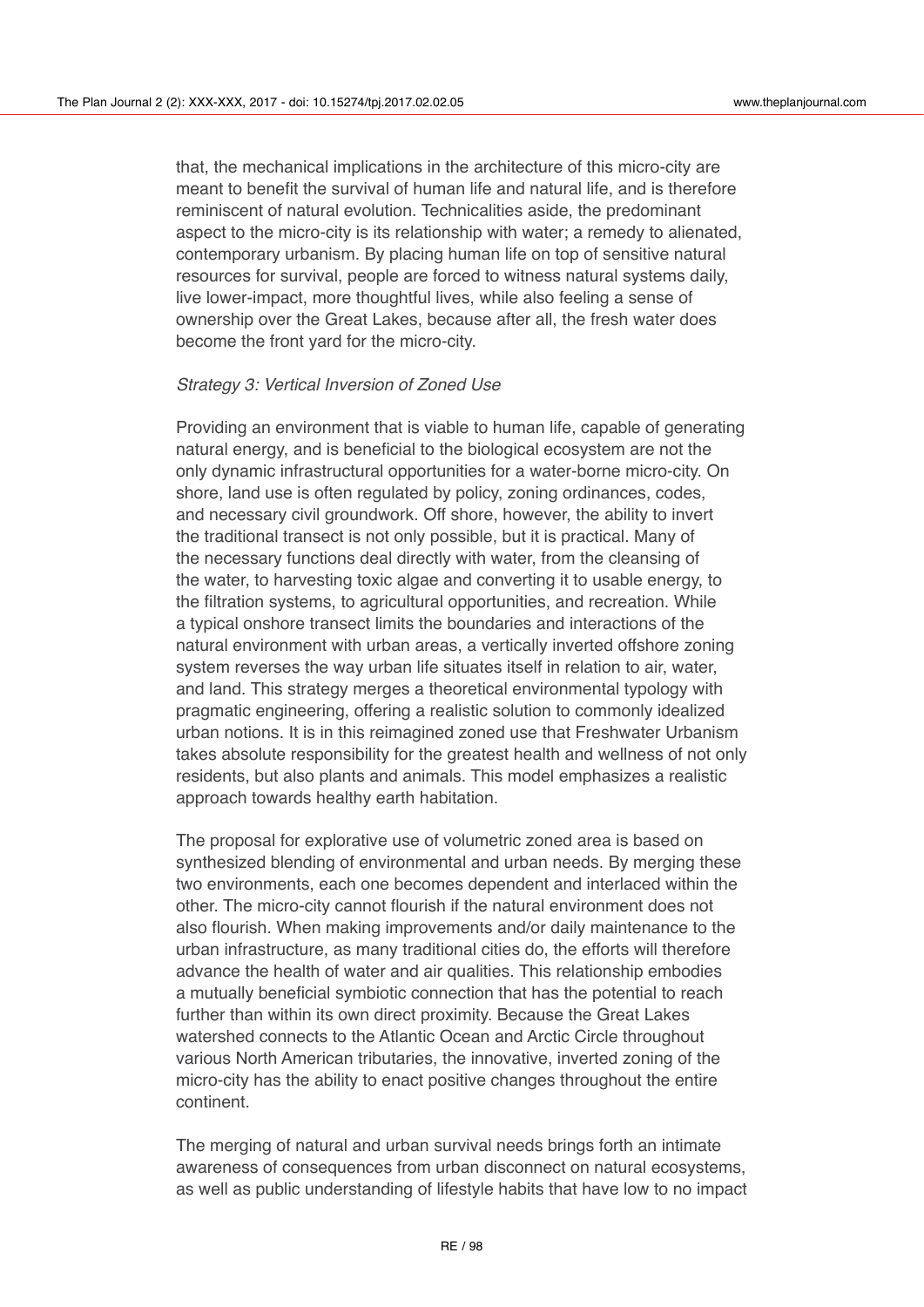that, the mechanical implications in the architecture of this micro-city are meant to benefit the survival of human life and natural life, and is therefore reminiscent of natural evolution. Technicalities aside, the predominant aspect to the micro-city is its relationship with water; a remedy to alienated, contemporary urbanism. By placing human life on top of sensitive natural resources for survival, people are forced to witness natural systems daily, live lower-impact, more thoughtful lives, while also feeling a sense of ownership over the Great Lakes, because after all, the fresh water does become the front yard for the micro-city.

#### *Strategy 3: Vertical Inversion of Zoned Use*

Providing an environment that is viable to human life, capable of generating natural energy, and is beneficial to the biological ecosystem are not the only dynamic infrastructural opportunities for a water-borne micro-city. On shore, land use is often regulated by policy, zoning ordinances, codes, and necessary civil groundwork. Off shore, however, the ability to invert the traditional transect is not only possible, but it is practical. Many of the necessary functions deal directly with water, from the cleansing of the water, to harvesting toxic algae and converting it to usable energy, to the filtration systems, to agricultural opportunities, and recreation. While a typical onshore transect limits the boundaries and interactions of the natural environment with urban areas, a vertically inverted offshore zoning system reverses the way urban life situates itself in relation to air, water, and land. This strategy merges a theoretical environmental typology with pragmatic engineering, offering a realistic solution to commonly idealized urban notions. It is in this reimagined zoned use that Freshwater Urbanism takes absolute responsibility for the greatest health and wellness of not only residents, but also plants and animals. This model emphasizes a realistic approach towards healthy earth habitation.

The proposal for explorative use of volumetric zoned area is based on synthesized blending of environmental and urban needs. By merging these two environments, each one becomes dependent and interlaced within the other. The micro-city cannot flourish if the natural environment does not also flourish. When making improvements and/or daily maintenance to the urban infrastructure, as many traditional cities do, the efforts will therefore advance the health of water and air qualities. This relationship embodies a mutually beneficial symbiotic connection that has the potential to reach further than within its own direct proximity. Because the Great Lakes watershed connects to the Atlantic Ocean and Arctic Circle throughout various North American tributaries, the innovative, inverted zoning of the micro-city has the ability to enact positive changes throughout the entire continent.

The merging of natural and urban survival needs brings forth an intimate awareness of consequences from urban disconnect on natural ecosystems, as well as public understanding of lifestyle habits that have low to no impact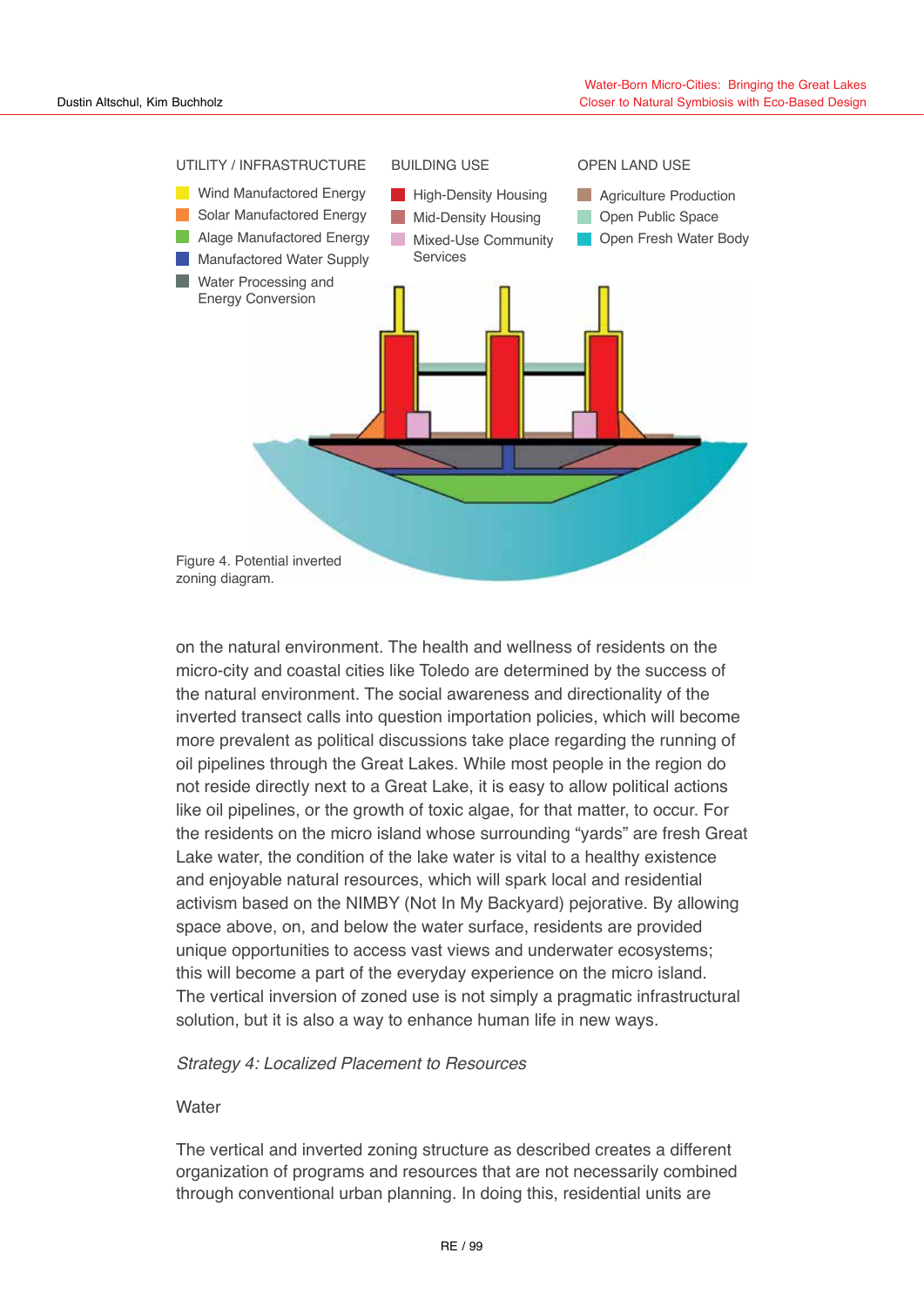

on the natural environment. The health and wellness of residents on the micro-city and coastal cities like Toledo are determined by the success of the natural environment. The social awareness and directionality of the inverted transect calls into question importation policies, which will become more prevalent as political discussions take place regarding the running of oil pipelines through the Great Lakes. While most people in the region do not reside directly next to a Great Lake, it is easy to allow political actions like oil pipelines, or the growth of toxic algae, for that matter, to occur. For the residents on the micro island whose surrounding "yards" are fresh Great Lake water, the condition of the lake water is vital to a healthy existence and enjoyable natural resources, which will spark local and residential activism based on the NIMBY (Not In My Backyard) pejorative. By allowing space above, on, and below the water surface, residents are provided unique opportunities to access vast views and underwater ecosystems; this will become a part of the everyday experience on the micro island. The vertical inversion of zoned use is not simply a pragmatic infrastructural solution, but it is also a way to enhance human life in new ways.

# *Strategy 4: Localized Placement to Resources*

# **Water**

The vertical and inverted zoning structure as described creates a different organization of programs and resources that are not necessarily combined through conventional urban planning. In doing this, residential units are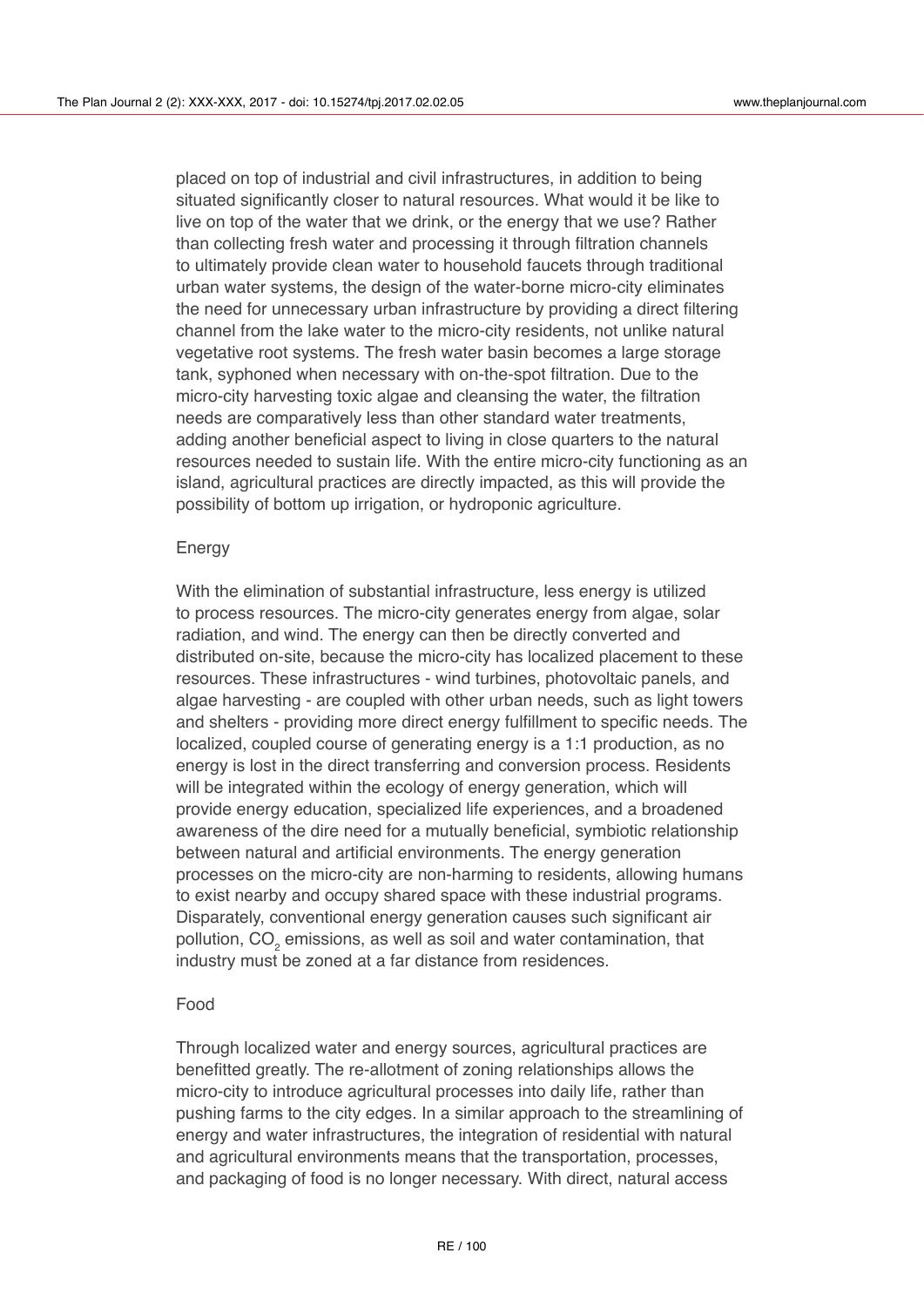placed on top of industrial and civil infrastructures, in addition to being situated significantly closer to natural resources. What would it be like to live on top of the water that we drink, or the energy that we use? Rather than collecting fresh water and processing it through filtration channels to ultimately provide clean water to household faucets through traditional urban water systems, the design of the water-borne micro-city eliminates the need for unnecessary urban infrastructure by providing a direct filtering channel from the lake water to the micro-city residents, not unlike natural vegetative root systems. The fresh water basin becomes a large storage tank, syphoned when necessary with on-the-spot filtration. Due to the micro-city harvesting toxic algae and cleansing the water, the filtration needs are comparatively less than other standard water treatments, adding another beneficial aspect to living in close quarters to the natural resources needed to sustain life. With the entire micro-city functioning as an island, agricultural practices are directly impacted, as this will provide the possibility of bottom up irrigation, or hydroponic agriculture.

#### Energy

With the elimination of substantial infrastructure, less energy is utilized to process resources. The micro-city generates energy from algae, solar radiation, and wind. The energy can then be directly converted and distributed on-site, because the micro-city has localized placement to these resources. These infrastructures - wind turbines, photovoltaic panels, and algae harvesting - are coupled with other urban needs, such as light towers and shelters - providing more direct energy fulfillment to specific needs. The localized, coupled course of generating energy is a 1:1 production, as no energy is lost in the direct transferring and conversion process. Residents will be integrated within the ecology of energy generation, which will provide energy education, specialized life experiences, and a broadened awareness of the dire need for a mutually beneficial, symbiotic relationship between natural and artificial environments. The energy generation processes on the micro-city are non-harming to residents, allowing humans to exist nearby and occupy shared space with these industrial programs. Disparately, conventional energy generation causes such significant air pollution, CO $_2$  emissions, as well as soil and water contamination, that industry must be zoned at a far distance from residences.

# Food

Through localized water and energy sources, agricultural practices are benefitted greatly. The re-allotment of zoning relationships allows the micro-city to introduce agricultural processes into daily life, rather than pushing farms to the city edges. In a similar approach to the streamlining of energy and water infrastructures, the integration of residential with natural and agricultural environments means that the transportation, processes, and packaging of food is no longer necessary. With direct, natural access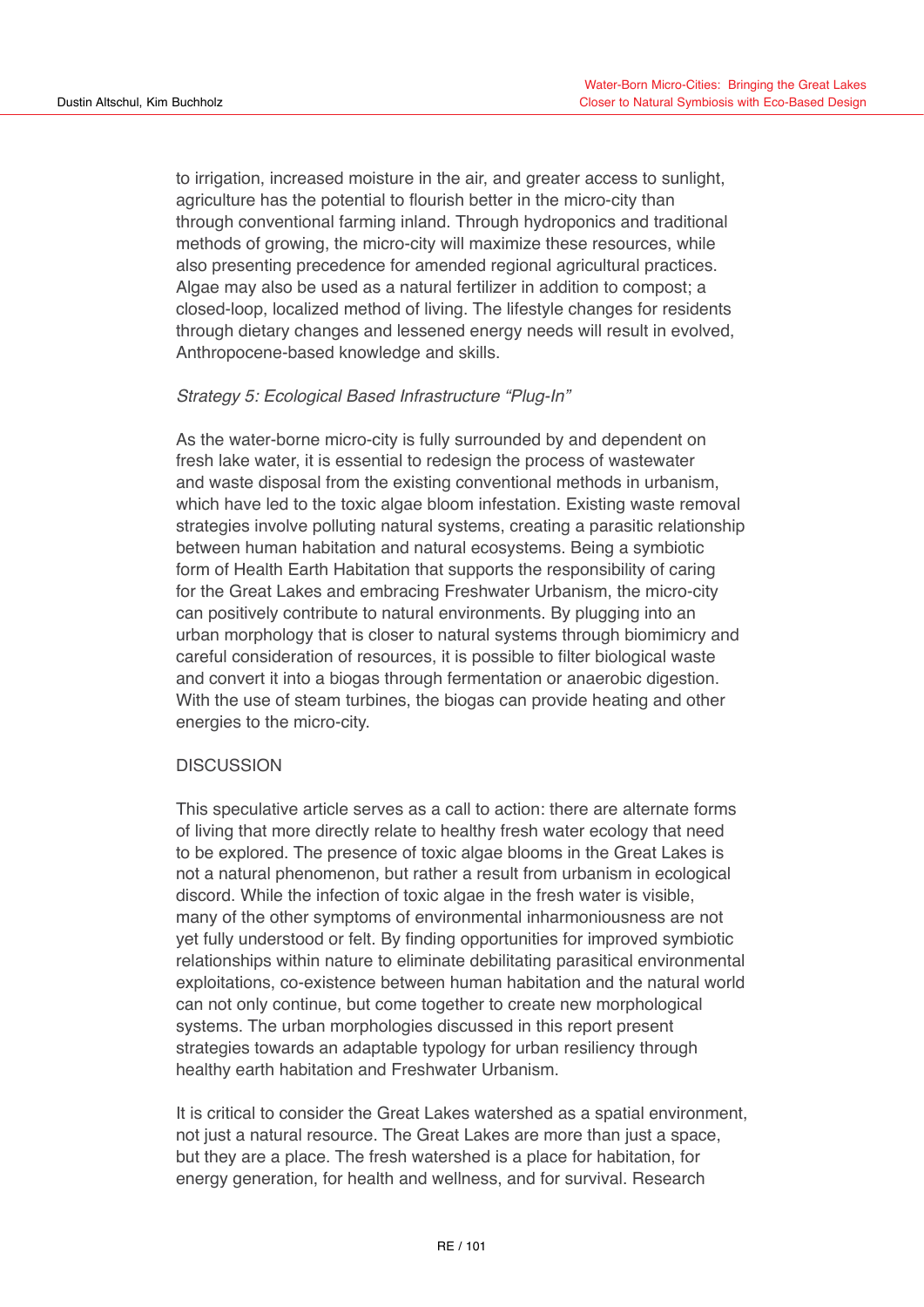to irrigation, increased moisture in the air, and greater access to sunlight, agriculture has the potential to flourish better in the micro-city than through conventional farming inland. Through hydroponics and traditional methods of growing, the micro-city will maximize these resources, while also presenting precedence for amended regional agricultural practices. Algae may also be used as a natural fertilizer in addition to compost; a closed-loop, localized method of living. The lifestyle changes for residents through dietary changes and lessened energy needs will result in evolved, Anthropocene-based knowledge and skills.

# *Strategy 5: Ecological Based Infrastructure "Plug-In"*

As the water-borne micro-city is fully surrounded by and dependent on fresh lake water, it is essential to redesign the process of wastewater and waste disposal from the existing conventional methods in urbanism, which have led to the toxic algae bloom infestation. Existing waste removal strategies involve polluting natural systems, creating a parasitic relationship between human habitation and natural ecosystems. Being a symbiotic form of Health Earth Habitation that supports the responsibility of caring for the Great Lakes and embracing Freshwater Urbanism, the micro-city can positively contribute to natural environments. By plugging into an urban morphology that is closer to natural systems through biomimicry and careful consideration of resources, it is possible to filter biological waste and convert it into a biogas through fermentation or anaerobic digestion. With the use of steam turbines, the biogas can provide heating and other energies to the micro-city.

# **DISCUSSION**

This speculative article serves as a call to action: there are alternate forms of living that more directly relate to healthy fresh water ecology that need to be explored. The presence of toxic algae blooms in the Great Lakes is not a natural phenomenon, but rather a result from urbanism in ecological discord. While the infection of toxic algae in the fresh water is visible, many of the other symptoms of environmental inharmoniousness are not yet fully understood or felt. By finding opportunities for improved symbiotic relationships within nature to eliminate debilitating parasitical environmental exploitations, co-existence between human habitation and the natural world can not only continue, but come together to create new morphological systems. The urban morphologies discussed in this report present strategies towards an adaptable typology for urban resiliency through healthy earth habitation and Freshwater Urbanism.

It is critical to consider the Great Lakes watershed as a spatial environment, not just a natural resource. The Great Lakes are more than just a space, but they are a place. The fresh watershed is a place for habitation, for energy generation, for health and wellness, and for survival. Research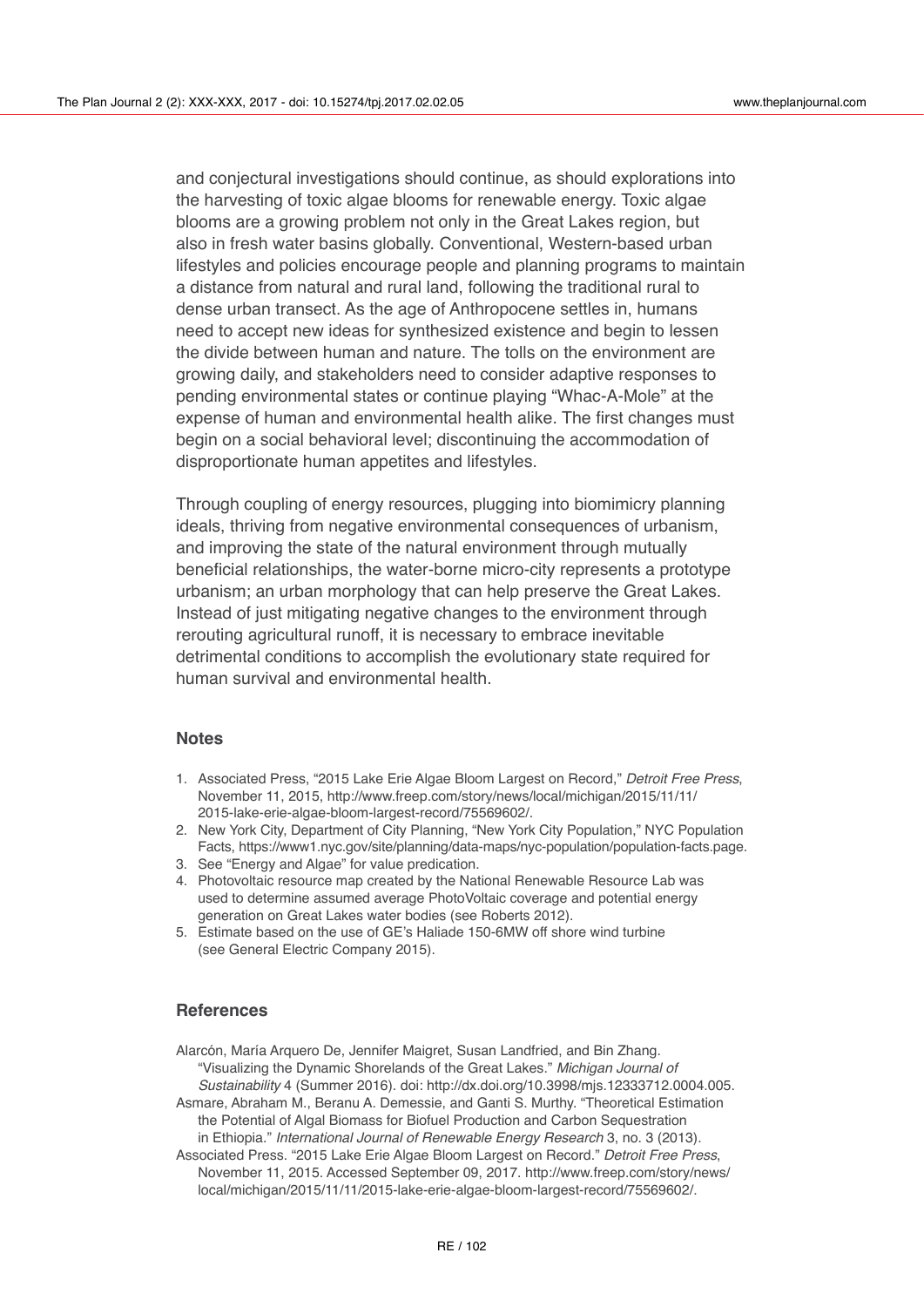and conjectural investigations should continue, as should explorations into the harvesting of toxic algae blooms for renewable energy. Toxic algae blooms are a growing problem not only in the Great Lakes region, but also in fresh water basins globally. Conventional, Western-based urban lifestyles and policies encourage people and planning programs to maintain a distance from natural and rural land, following the traditional rural to dense urban transect. As the age of Anthropocene settles in, humans need to accept new ideas for synthesized existence and begin to lessen the divide between human and nature. The tolls on the environment are growing daily, and stakeholders need to consider adaptive responses to pending environmental states or continue playing "Whac-A-Mole" at the expense of human and environmental health alike. The first changes must begin on a social behavioral level; discontinuing the accommodation of disproportionate human appetites and lifestyles.

Through coupling of energy resources, plugging into biomimicry planning ideals, thriving from negative environmental consequences of urbanism, and improving the state of the natural environment through mutually beneficial relationships, the water-borne micro-city represents a prototype urbanism; an urban morphology that can help preserve the Great Lakes. Instead of just mitigating negative changes to the environment through rerouting agricultural runoff, it is necessary to embrace inevitable detrimental conditions to accomplish the evolutionary state required for human survival and environmental health.

# **Notes**

- 1. Associated Press, "2015 Lake Erie Algae Bloom Largest on Record," *Detroit Free Press*, November 11, 2015, http://www.freep.com/story[/news/local/michigan/2015/11/11/](http://www.freep.com/story/news/local/michigan/2015/11/11/2015-lake-erie-algae-bloom-largest-record/75569602) [2015-lake-erie-algae-bloom-largest-record/75569602/](http://www.freep.com/story/news/local/michigan/2015/11/11/2015-lake-erie-algae-bloom-largest-record/75569602).
- 2. New York City, Department of City Planning, "New York City Population," NYC Population Facts,<https://www1.nyc.gov/site/planning/data-maps/nyc-population/population-facts.page>.
- 3. See "Energy and Algae" for value predication.
- 4. Photovoltaic resource map created by the National Renewable Resource Lab was used to determine assumed average PhotoVoltaic coverage and potential energy generation on Great Lakes water bodies (see Roberts 2012).
- 5. Estimate based on the use of GE's Haliade 150-6MW off shore wind turbine (see General Electric Company 2015).

#### **References**

Alarcón, María Arquero De, Jennifer Maigret, Susan Landfried, and Bin Zhang. "Visualizing the Dynamic Shorelands of the Great Lakes." *Michigan Journal of Sustainability* 4 (Summer 2016). doi:<http://dx.doi.org/10.3998/mjs.12333712.0004.005>. Asmare, Abraham M., Beranu A. Demessie, and Ganti S. Murthy. "Theoretical Estimation

the Potential of Algal Biomass for Biofuel Production and Carbon Sequestration in Ethiopia." *International Journal of Renewable Energy Research* 3, no. 3 (2013). Associated Press. "2015 Lake Erie Algae Bloom Largest on Record." *Detroit Free Press*,

November 11, 2015. Accessed September 09, 2017. [http://www.freep.com/story/news/](http://www.freep.com/story/news/local/michigan/2015/11/11/2015-lake-erie-algae-bloom-largest-record/75569602/)  [local/michigan/2015/11/11/2015-lake-erie-algae-bloom-largest-record/75569602/.](http://www.freep.com/story/news/local/michigan/2015/11/11/2015-lake-erie-algae-bloom-largest-record/75569602/)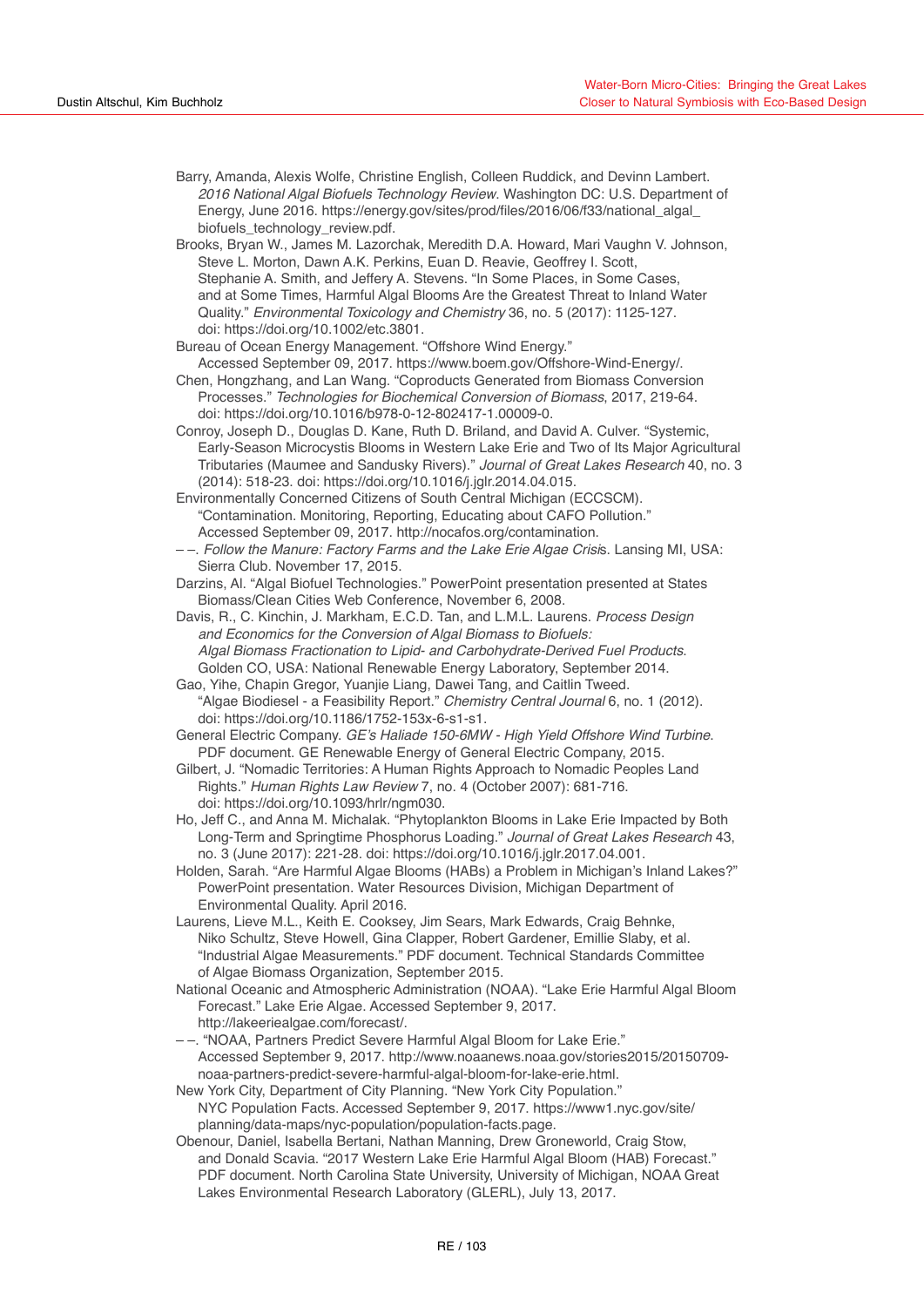- Barry, Amanda, Alexis Wolfe, Christine English, Colleen Ruddick, and Devinn Lambert. *2016 National Algal Biofuels Technology Review*. Washington DC: U.S. Department of Energy, June 2016. [https://energy.gov/sites/prod/files/2016/06/f33/national\\_algal\\_](https://energy.gov/sites/prod/files/2016/06/f33/national_algal_biofuels_technology_review.pdf) [biofuels\\_technology\\_review.pdf](https://energy.gov/sites/prod/files/2016/06/f33/national_algal_biofuels_technology_review.pdf).
- Brooks, Bryan W., James M. Lazorchak, Meredith D.A. Howard, Mari Vaughn V. Johnson, Steve L. Morton, Dawn A.K. Perkins, Euan D. Reavie, Geoffrey I. Scott, Stephanie A. Smith, and Jeffery A. Stevens. "In Some Places, in Some Cases, and at Some Times, Harmful Algal Blooms Are the Greatest Threat to Inland Water Quality." *Environmental Toxicology and Chemistry* 36, no. 5 (2017): 1125-127. doi: <https://doi.org/10.1002/etc.3801>.
- Bureau of Ocean Energy Management. "Offshore Wind Energy."
- Accessed September 09, 2017. https://www.boem.gov/Offshore-Wind-Energy/.
- Chen, Hongzhang, and Lan Wang. "Coproducts Generated from Biomass Conversion Processes." *Technologies for Biochemical Conversion of Biomass*, 2017, 219-64. doi: <https://doi.org/10.1016/b978-0-12-802417-1.00009-0>.
- Conroy, Joseph D., Douglas D. Kane, Ruth D. Briland, and David A. Culver. "Systemic, Early-Season Microcystis Blooms in Western Lake Erie and Two of Its Major Agricultural Tributaries (Maumee and Sandusky Rivers)." *Journal of Great Lakes Research* 40, no. 3 (2014): 518-23. doi: <https://doi.org/10.1016/j.jglr.2014.04.015>.
- Environmentally Concerned Citizens of South Central Michigan (ECCSCM). "Contamination. Monitoring, Reporting, Educating about CAFO Pollution." Accessed September 09, 2017. http://nocafos.org/contamination.
- –. *Follow the Manure: Factory Farms and the Lake Erie Algae Crisi*s. Lansing MI, USA: Sierra Club. November 17, 2015.
- Darzins, Al. "Algal Biofuel Technologies." PowerPoint presentation presented at States Biomass/Clean Cities Web Conference, November 6, 2008.
- Davis, R., C. Kinchin, J. Markham, E.C.D. Tan, and L.M.L. Laurens. *Process Design and Economics for the Conversion of Algal Biomass to Biofuels: Algal Biomass Fractionation to Lipid- and Carbohydrate-Derived Fuel Products*. Golden CO, USA: National Renewable Energy Laboratory, September 2014.
- Gao, Yihe, Chapin Gregor, Yuanjie Liang, Dawei Tang, and Caitlin Tweed. "Algae Biodiesel - a Feasibility Report." *Chemistry Central Journal* 6, no. 1 (2012). doi: [https://doi.org/10.1186/1752-153x-6-s1-s1.](https://doi.org/10.1186/1752-153x-6-s1-s1)
- General Electric Company. GE's Haliade 150-6MW High Yield Offshore Wind Turbine. PDF document. GE Renewable Energy of General Electric Company, 2015.
- Gilbert, J. "Nomadic Territories: A Human Rights Approach to Nomadic Peoples Land Rights." Human Rights Law Review 7, no. 4 (October 2007): 681-716. doi: [https://doi.org/10.1093/hrlr/ngm030.](https://doi.org/10.1093/hrlr/ngm030)
- Ho, Jeff C., and Anna M. Michalak. "Phytoplankton Blooms in Lake Erie Impacted by Both Long-Term and Springtime Phosphorus Loading." *Journal of Great Lakes Research* 43, no. 3 (June 2017): 221-28. doi: [https://doi.org/10.1016/j.jglr.2017.04.001.](https://doi.org/10.1016/j.jglr.2017.04.001)
- Holden, Sarah. "Are Harmful Algae Blooms (HABs) a Problem in Michigan's Inland Lakes?" PowerPoint presentation. Water Resources Division, Michigan Department of Environmental Quality. April 2016.
- Laurens, Lieve M.L., Keith E. Cooksey, Jim Sears, Mark Edwards, Craig Behnke, Niko Schultz, Steve Howell, Gina Clapper, Robert Gardener, Emillie Slaby, et al. "Industrial Algae Measurements." PDF document. Technical Standards Committee of Algae Biomass Organization, September 2015.
- National Oceanic and Atmospheric Administration (NOAA). "Lake Erie Harmful Algal Bloom Forecast." Lake Erie Algae. Accessed September 9, 2017. <http://lakeeriealgae.com/forecast/>.
- –. "NOAA, Partners Predict Severe Harmful Algal Bloom for Lake Erie." Accessed September 9, 2017. [http://www.noaanews.noaa.gov/stories2015/20150709](http://www.noaanews.noaa.gov/stories2015/20150709-noaa-partners-predict-severe-harmful-algal-bloom-for-lake-erie.html)  [noaa-partners-predict-severe-harmful-algal-bloom-for-lake-erie.html.](http://www.noaanews.noaa.gov/stories2015/20150709-noaa-partners-predict-severe-harmful-algal-bloom-for-lake-erie.html)
- New York City, Department of City Planning. "New York City Population." NYC Population Facts. Accessed September 9, 2017. [https://www1.nyc.gov/site/](https://www1.nyc.gov/site/planning/data-maps/nyc-population/population-facts.page)  [planning/data-maps/nyc-population/population-facts.page](https://www1.nyc.gov/site/planning/data-maps/nyc-population/population-facts.page).
- Obenour, Daniel, Isabella Bertani, Nathan Manning, Drew Groneworld, Craig Stow, and Donald Scavia. "2017 Western Lake Erie Harmful Algal Bloom (HAB) Forecast." PDF document. North Carolina State University, University of Michigan, NOAA Great Lakes Environmental Research Laboratory (GLERL), July 13, 2017.